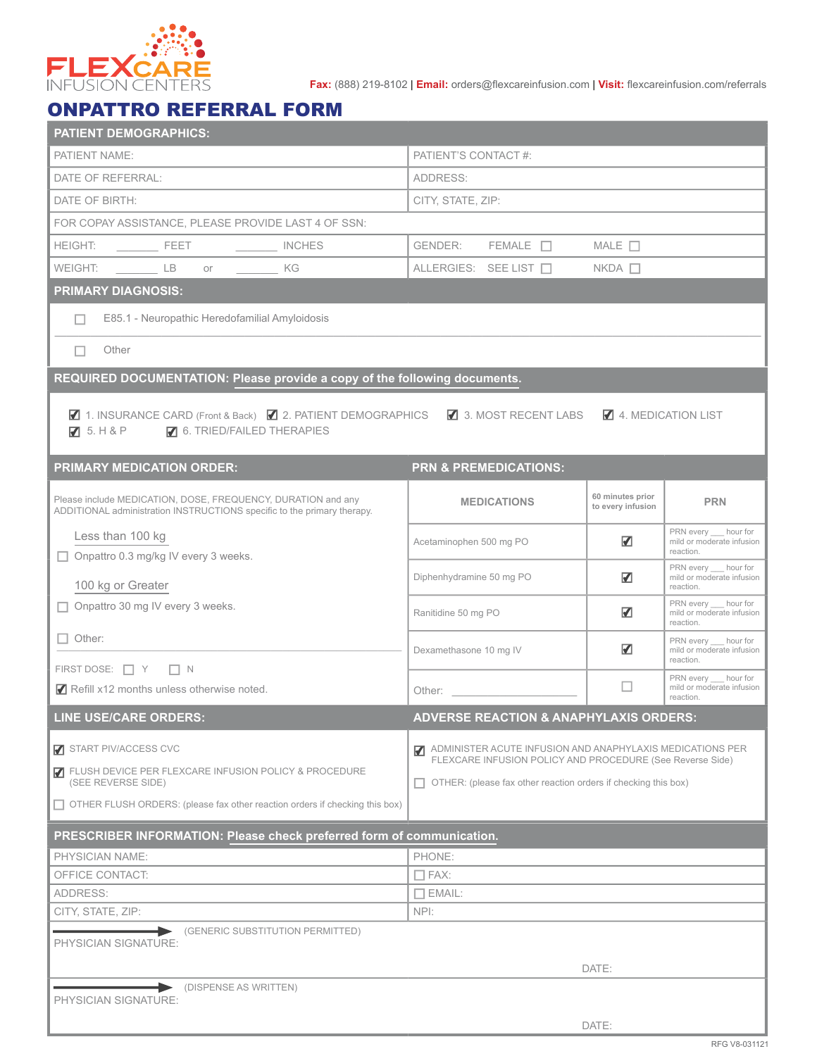

**Fax:** (888) 219-8102 | **Email:** orders@flexcareinfusion.com | **Visit:** flexcareinfusion.com/referrals

## ONPATTRO REFERRAL FORM

| <b>PATIENT DEMOGRAPHICS:</b>                                                                                                            |                                                                                                                                                                                                                                |                                                                                                                        |                                                                  |  |  |  |  |
|-----------------------------------------------------------------------------------------------------------------------------------------|--------------------------------------------------------------------------------------------------------------------------------------------------------------------------------------------------------------------------------|------------------------------------------------------------------------------------------------------------------------|------------------------------------------------------------------|--|--|--|--|
| <b>PATIENT NAME:</b>                                                                                                                    | PATIENT'S CONTACT #:                                                                                                                                                                                                           |                                                                                                                        |                                                                  |  |  |  |  |
| DATE OF REFERRAL:                                                                                                                       | ADDRESS:                                                                                                                                                                                                                       |                                                                                                                        |                                                                  |  |  |  |  |
| DATE OF BIRTH:                                                                                                                          | CITY, STATE, ZIP:                                                                                                                                                                                                              |                                                                                                                        |                                                                  |  |  |  |  |
| FOR COPAY ASSISTANCE, PLEASE PROVIDE LAST 4 OF SSN:                                                                                     |                                                                                                                                                                                                                                |                                                                                                                        |                                                                  |  |  |  |  |
|                                                                                                                                         | $GENDER:$ FEMALE $\Box$                                                                                                                                                                                                        | MALE $\Box$                                                                                                            |                                                                  |  |  |  |  |
| WEIGHT: __________ LB or ________<br>KG                                                                                                 | ALLERGIES: SEE LIST □                                                                                                                                                                                                          | $NKDA$ $\Box$                                                                                                          |                                                                  |  |  |  |  |
| <b>PRIMARY DIAGNOSIS:</b>                                                                                                               |                                                                                                                                                                                                                                |                                                                                                                        |                                                                  |  |  |  |  |
| E85.1 - Neuropathic Heredofamilial Amyloidosis<br>П                                                                                     |                                                                                                                                                                                                                                |                                                                                                                        |                                                                  |  |  |  |  |
| Other<br>ш                                                                                                                              |                                                                                                                                                                                                                                |                                                                                                                        |                                                                  |  |  |  |  |
| REQUIRED DOCUMENTATION: Please provide a copy of the following documents.                                                               |                                                                                                                                                                                                                                |                                                                                                                        |                                                                  |  |  |  |  |
| ■ 1. INSURANCE CARD (Front & Back) ■ 2. PATIENT DEMOGRAPHICS ■ 3. MOST RECENT LABS<br>☑ 5. H & P <b>/</b> 6. TRIED/FAILED THERAPIES     |                                                                                                                                                                                                                                | 4. MEDICATION LIST                                                                                                     |                                                                  |  |  |  |  |
| <b>PRIMARY MEDICATION ORDER:</b>                                                                                                        | <b>PRN &amp; PREMEDICATIONS:</b>                                                                                                                                                                                               |                                                                                                                        |                                                                  |  |  |  |  |
| Please include MEDICATION, DOSE, FREQUENCY, DURATION and any<br>ADDITIONAL administration INSTRUCTIONS specific to the primary therapy. | <b>MEDICATIONS</b>                                                                                                                                                                                                             | 60 minutes prior<br>to every infusion                                                                                  | <b>PRN</b>                                                       |  |  |  |  |
| Less than 100 kg<br>Onpattro 0.3 mg/kg IV every 3 weeks.<br>П                                                                           | Acetaminophen 500 mg PO                                                                                                                                                                                                        | $\blacksquare$                                                                                                         | PRN every __ hour for<br>mild or moderate infusion<br>reaction.  |  |  |  |  |
| 100 kg or Greater                                                                                                                       | Diphenhydramine 50 mg PO                                                                                                                                                                                                       | $\overline{\mathbf{v}}$                                                                                                | PRN every ___ hour for<br>mild or moderate infusion<br>reaction. |  |  |  |  |
| $\Box$ Onpattro 30 mg IV every 3 weeks.                                                                                                 | Ranitidine 50 mg PO                                                                                                                                                                                                            | $\blacksquare$                                                                                                         | PRN every __ hour for<br>mild or moderate infusion<br>reaction.  |  |  |  |  |
| $\Box$ Other:                                                                                                                           | Dexamethasone 10 mg IV                                                                                                                                                                                                         | $\overline{\mathbf{v}}$                                                                                                | PRN every ___ hour for<br>mild or moderate infusion<br>reaction. |  |  |  |  |
| FIRST DOSE: $\Box$ Y $\Box$ N<br>Refill x12 months unless otherwise noted.                                                              | Other: the contract of the contract of the contract of the contract of the contract of the contract of the contract of the contract of the contract of the contract of the contract of the contract of the contract of the con | $\Box$                                                                                                                 | PRN every __ hour for<br>mild or moderate infusion<br>reaction.  |  |  |  |  |
| <b>LINE USE/CARE ORDERS:</b>                                                                                                            | <b>ADVERSE REACTION &amp; ANAPHYLAXIS ORDERS:</b>                                                                                                                                                                              |                                                                                                                        |                                                                  |  |  |  |  |
| START PIV/ACCESS CVC                                                                                                                    | $\blacksquare$                                                                                                                                                                                                                 | ADMINISTER ACUTE INFUSION AND ANAPHYLAXIS MEDICATIONS PER<br>FLEXCARE INFUSION POLICY AND PROCEDURE (See Reverse Side) |                                                                  |  |  |  |  |
| T FLUSH DEVICE PER FLEXCARE INFUSION POLICY & PROCEDURE<br>(SEE REVERSE SIDE)                                                           |                                                                                                                                                                                                                                | OTHER: (please fax other reaction orders if checking this box)                                                         |                                                                  |  |  |  |  |
| □ OTHER FLUSH ORDERS: (please fax other reaction orders if checking this box)                                                           |                                                                                                                                                                                                                                |                                                                                                                        |                                                                  |  |  |  |  |
| PRESCRIBER INFORMATION: Please check preferred form of communication.                                                                   |                                                                                                                                                                                                                                |                                                                                                                        |                                                                  |  |  |  |  |
| <b>PHYSICIAN NAME:</b>                                                                                                                  | PHONE:                                                                                                                                                                                                                         |                                                                                                                        |                                                                  |  |  |  |  |
| OFFICE CONTACT:                                                                                                                         | $\square$ fax:                                                                                                                                                                                                                 |                                                                                                                        |                                                                  |  |  |  |  |
| ADDRESS:                                                                                                                                |                                                                                                                                                                                                                                | $\Box$ EMAIL:                                                                                                          |                                                                  |  |  |  |  |
| CITY, STATE, ZIP:                                                                                                                       | NPI:                                                                                                                                                                                                                           |                                                                                                                        |                                                                  |  |  |  |  |
| (GENERIC SUBSTITUTION PERMITTED)<br>PHYSICIAN SIGNATURE:                                                                                |                                                                                                                                                                                                                                |                                                                                                                        |                                                                  |  |  |  |  |
| (DISPENSE AS WRITTEN)                                                                                                                   |                                                                                                                                                                                                                                | DATE:                                                                                                                  |                                                                  |  |  |  |  |
| PHYSICIAN SIGNATURE:                                                                                                                    |                                                                                                                                                                                                                                |                                                                                                                        |                                                                  |  |  |  |  |
|                                                                                                                                         |                                                                                                                                                                                                                                | DATE:                                                                                                                  |                                                                  |  |  |  |  |